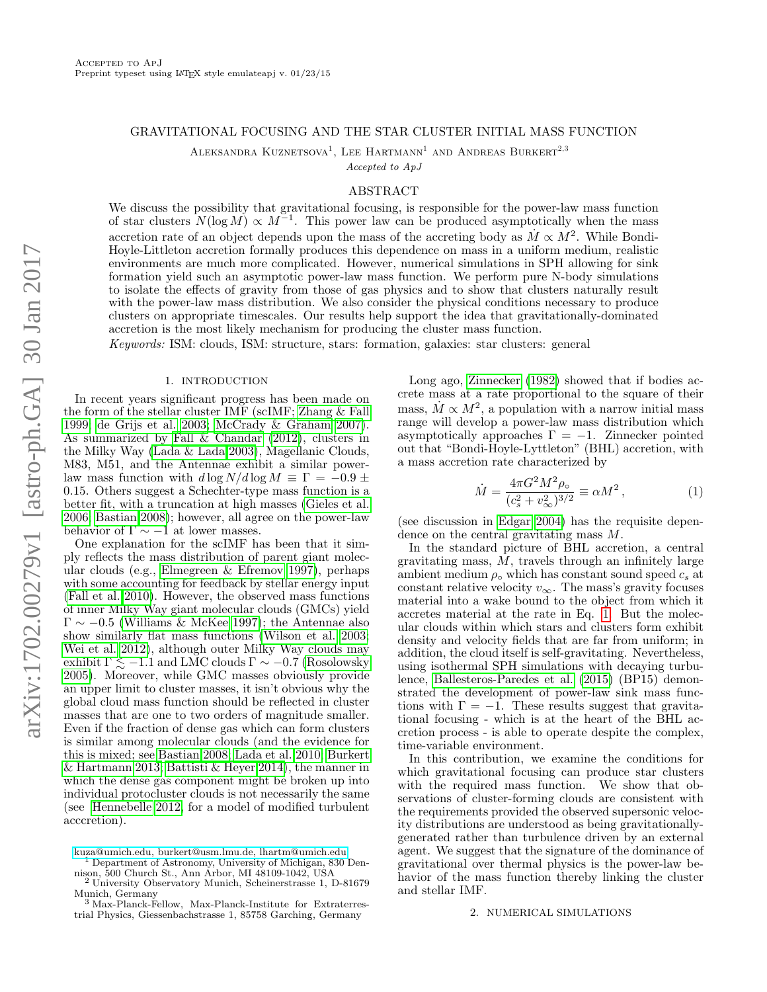### GRAVITATIONAL FOCUSING AND THE STAR CLUSTER INITIAL MASS FUNCTION

ALEKSANDRA KUZNETSOVA<sup>1</sup>, LEE HARTMANN<sup>1</sup> AND ANDREAS BURKERT<sup>2,3</sup>

Accepted to ApJ

## ABSTRACT

We discuss the possibility that gravitational focusing, is responsible for the power-law mass function of star clusters  $N(\log M) \propto M^{-1}$ . This power law can be produced asymptotically when the mass accretion rate of an object depends upon the mass of the accreting body as  $\dot{M} \propto M^2$ . While Bondi-Hoyle-Littleton accretion formally produces this dependence on mass in a uniform medium, realistic environments are much more complicated. However, numerical simulations in SPH allowing for sink formation yield such an asymptotic power-law mass function. We perform pure N-body simulations to isolate the effects of gravity from those of gas physics and to show that clusters naturally result with the power-law mass distribution. We also consider the physical conditions necessary to produce clusters on appropriate timescales. Our results help support the idea that gravitationally-dominated accretion is the most likely mechanism for producing the cluster mass function.

Keywords: ISM: clouds, ISM: structure, stars: formation, galaxies: star clusters: general

## 1. INTRODUCTION

In recent years significant progress has been made on the form of the stellar cluster IMF (scIMF; [Zhang & Fall](#page-5-0) [1999;](#page-5-0) [de Grijs et al. 2003;](#page-5-1) [McCrady & Graham 2007\)](#page-5-2). As summarized by [Fall & Chandar \(2012\)](#page-5-3), clusters in the Milky Way [\(Lada & Lada 2003\)](#page-5-4), Magellanic Clouds, M83, M51, and the Antennae exhibit a similar powerlaw mass function with  $d \log N/d \log M \equiv \Gamma = -0.9 \pm 1$ 0.15. Others suggest a Schechter-type mass function is a better fit, with a truncation at high masses [\(Gieles et al.](#page-5-5) [2006;](#page-5-5) [Bastian 2008\)](#page-5-6); however, all agree on the power-law behavior of  $\Gamma \sim -1$  at lower masses.

One explanation for the scIMF has been that it simply reflects the mass distribution of parent giant molecular clouds (e.g., [Elmegreen & Efremov 1997\)](#page-5-7), perhaps with some accounting for feedback by stellar energy input [\(Fall et al. 2010\)](#page-5-8). However, the observed mass functions of inner Milky Way giant molecular clouds (GMCs) yield  $\Gamma \sim -0.5$  [\(Williams & McKee 1997\)](#page-5-9); the Antennae also show similarly flat mass functions [\(Wilson et al. 2003;](#page-5-10) [Wei et al. 2012\)](#page-5-11), although outer Milky Way clouds may exhibit  $\Gamma \leq -1.1$  and LMC clouds  $\Gamma \sim -0.7$  [\(Rosolowsky](#page-5-12) [2005\)](#page-5-12). Moreover, while GMC masses obviously provide an upper limit to cluster masses, it isn't obvious why the global cloud mass function should be reflected in cluster masses that are one to two orders of magnitude smaller. Even if the fraction of dense gas which can form clusters is similar among molecular clouds (and the evidence for this is mixed; see [Bastian 2008;](#page-5-6) [Lada et al. 2010;](#page-5-13) [Burkert](#page-5-14) [& Hartmann 2013;](#page-5-14) [Battisti & Heyer 2014\)](#page-5-15), the manner in which the dense gas component might be broken up into individual protocluster clouds is not necessarily the same (see [Hennebelle 2012,](#page-5-16) for a model of modified turbulent acccretion).

Long ago, [Zinnecker \(1982\)](#page-5-17) showed that if bodies accrete mass at a rate proportional to the square of their mass,  $\dot{M} \propto M^2$ , a population with a narrow initial mass range will develop a power-law mass distribution which asymptotically approaches  $\Gamma = -1$ . Zinnecker pointed out that "Bondi-Hoyle-Lyttleton" (BHL) accretion, with a mass accretion rate characterized by

<span id="page-0-0"></span>
$$
\dot{M} = \frac{4\pi G^2 M^2 \rho_o}{(c_s^2 + v_\infty^2)^{3/2}} \equiv \alpha M^2 ,\qquad (1)
$$

(see discussion in [Edgar 2004\)](#page-5-18) has the requisite dependence on the central gravitating mass M.

In the standard picture of BHL accretion, a central gravitating mass, M, travels through an infinitely large ambient medium  $\rho_{\rm o}$  which has constant sound speed  $c_s$  at constant relative velocity  $v_{\infty}$ . The mass's gravity focuses material into a wake bound to the object from which it accretes material at the rate in Eq. [1.](#page-0-0) But the molecular clouds within which stars and clusters form exhibit density and velocity fields that are far from uniform; in addition, the cloud itself is self-gravitating. Nevertheless, using isothermal SPH simulations with decaying turbulence, [Ballesteros-Paredes et al. \(2015\)](#page-5-19) (BP15) demonstrated the development of power-law sink mass functions with  $\Gamma = -1$ . These results suggest that gravitational focusing - which is at the heart of the BHL accretion process - is able to operate despite the complex, time-variable environment.

In this contribution, we examine the conditions for which gravitational focusing can produce star clusters with the required mass function. We show that observations of cluster-forming clouds are consistent with the requirements provided the observed supersonic velocity distributions are understood as being gravitationallygenerated rather than turbulence driven by an external agent. We suggest that the signature of the dominance of gravitational over thermal physics is the power-law behavior of the mass function thereby linking the cluster and stellar IMF.

### 2. NUMERICAL SIMULATIONS

[kuza@umich.edu, burkert@usm.lmu.de, lhartm@umich.edu](mailto:kuza@umich.edu, burkert@usm.lmu.de, lhartm@umich.edu)

<sup>1</sup> Department of Astronomy, University of Michigan, 830 Dennison, 500 Church St., Ann Arbor, MI 48109-1042, USA <sup>2</sup> University Observatory Munich, Scheinerstrasse 1, D-81679

Munich, Germany <sup>3</sup> Max-Planck-Fellow, Max-Planck-Institute for Extraterres-

trial Physics, Giessenbachstrasse 1, 85758 Garching, Germany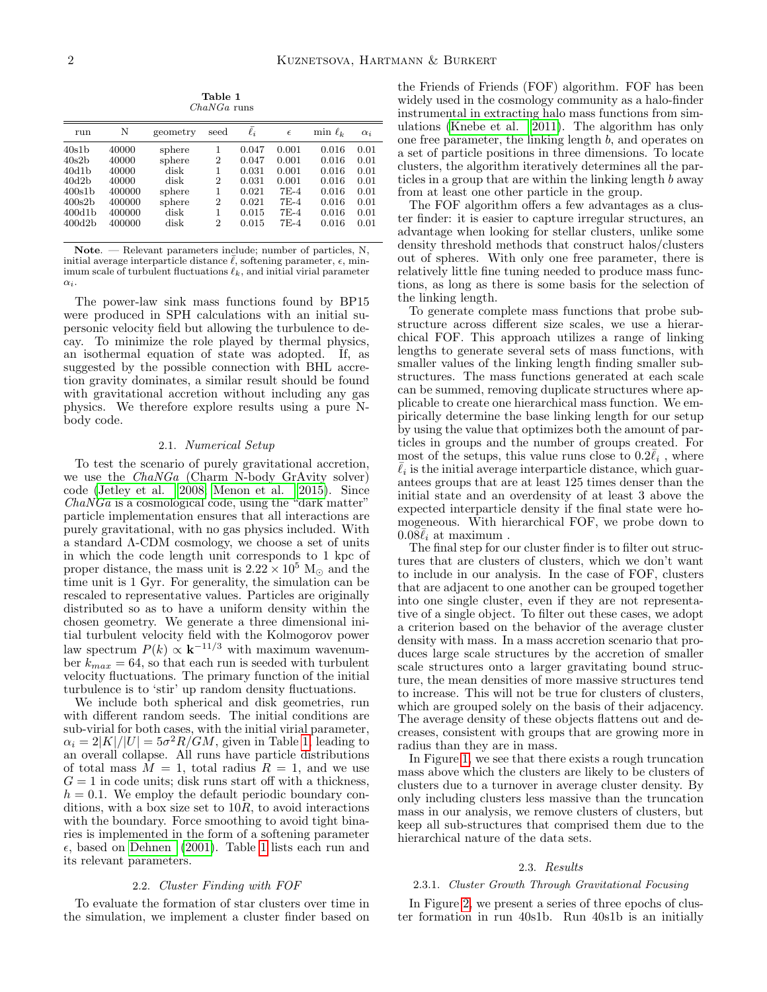Table 1 ChaNGa runs

<span id="page-1-0"></span>

| run                                                                                                                                  | N                                                                        | geometry                                                             | seed                                                                                     | $\ell_i$                                                             | $\epsilon$                                                               | $\min \ell_k$                                                        | $\alpha_i$                                                   |
|--------------------------------------------------------------------------------------------------------------------------------------|--------------------------------------------------------------------------|----------------------------------------------------------------------|------------------------------------------------------------------------------------------|----------------------------------------------------------------------|--------------------------------------------------------------------------|----------------------------------------------------------------------|--------------------------------------------------------------|
| 40s1b<br>40s2b<br>40d1 <sub>b</sub><br>40d2 <sub>b</sub><br>400s1 <sub>b</sub><br>400s2 <sub>b</sub><br>400d1 <sub>b</sub><br>400d2b | 40000<br>40000<br>40000<br>40000<br>400000<br>400000<br>400000<br>400000 | sphere<br>sphere<br>disk<br>disk<br>sphere<br>sphere<br>disk<br>disk | 1<br>$\overline{2}$<br>1<br>$\overline{2}$<br>1<br>$\overline{2}$<br>1<br>$\overline{2}$ | 0.047<br>0.047<br>0.031<br>0.031<br>0.021<br>0.021<br>0.015<br>0.015 | 0.001<br>0.001<br>0.001<br>0.001<br>$7E-4$<br>$7E-4$<br>$7E-4$<br>$7E-4$ | 0.016<br>0.016<br>0.016<br>0.016<br>0.016<br>0.016<br>0.016<br>0.016 | 0.01<br>0.01<br>0.01<br>0.01<br>0.01<br>0.01<br>0.01<br>0.01 |
|                                                                                                                                      |                                                                          |                                                                      |                                                                                          |                                                                      |                                                                          |                                                                      |                                                              |

Note. — Relevant parameters include; number of particles, N, initial average interparticle distance  $\bar{\ell}$ , softening parameter,  $\epsilon$ , minimum scale of turbulent fluctuations  $\ell_k$ , and initial virial parameter  $\alpha_i$ .

The power-law sink mass functions found by BP15 were produced in SPH calculations with an initial supersonic velocity field but allowing the turbulence to decay. To minimize the role played by thermal physics, an isothermal equation of state was adopted. If, as suggested by the possible connection with BHL accretion gravity dominates, a similar result should be found with gravitational accretion without including any gas physics. We therefore explore results using a pure Nbody code.

## 2.1. Numerical Setup

To test the scenario of purely gravitational accretion, we use the *ChaNGa* (Charm N-body GrAvity solver) code [\(Jetley et al. 2008;](#page-5-20) [Menon et al. 2015\)](#page-5-21). Since  $ChaNGa$  is a cosmological code, using the "dark matter" particle implementation ensures that all interactions are purely gravitational, with no gas physics included. With a standard Λ-CDM cosmology, we choose a set of units in which the code length unit corresponds to 1 kpc of proper distance, the mass unit is  $2.22 \times 10^5$  M<sub> $\odot$ </sub> and the time unit is 1 Gyr. For generality, the simulation can be rescaled to representative values. Particles are originally distributed so as to have a uniform density within the chosen geometry. We generate a three dimensional initial turbulent velocity field with the Kolmogorov power law spectrum  $P(k) \propto k^{-11/3}$  with maximum wavenumber  $k_{max} = 64$ , so that each run is seeded with turbulent velocity fluctuations. The primary function of the initial turbulence is to 'stir' up random density fluctuations.

We include both spherical and disk geometries, run with different random seeds. The initial conditions are sub-virial for both cases, with the initial virial parameter,  $\alpha_i = 2|K|/|U| = 5\sigma^2 R/GM$ , given in Table [1,](#page-1-0) leading to an overall collapse. All runs have particle distributions of total mass  $M = 1$ , total radius  $R = 1$ , and we use  $G = 1$  in code units; disk runs start off with a thickness,  $h = 0.1$ . We employ the default periodic boundary conditions, with a box size set to  $10R$ , to avoid interactions with the boundary. Force smoothing to avoid tight binaries is implemented in the form of a softening parameter  $\epsilon$ , based on [Dehnen \(2001\)](#page-5-22). Table [1](#page-1-0) lists each run and its relevant parameters.

#### 2.2. Cluster Finding with FOF

To evaluate the formation of star clusters over time in the simulation, we implement a cluster finder based on

the Friends of Friends (FOF) algorithm. FOF has been widely used in the cosmology community as a halo-finder instrumental in extracting halo mass functions from simulations [\(Knebe et al. 2011\)](#page-5-23). The algorithm has only one free parameter, the linking length b, and operates on a set of particle positions in three dimensions. To locate clusters, the algorithm iteratively determines all the particles in a group that are within the linking length b away from at least one other particle in the group.

The FOF algorithm offers a few advantages as a cluster finder: it is easier to capture irregular structures, an advantage when looking for stellar clusters, unlike some density threshold methods that construct halos/clusters out of spheres. With only one free parameter, there is relatively little fine tuning needed to produce mass functions, as long as there is some basis for the selection of the linking length.

To generate complete mass functions that probe substructure across different size scales, we use a hierarchical FOF. This approach utilizes a range of linking lengths to generate several sets of mass functions, with smaller values of the linking length finding smaller substructures. The mass functions generated at each scale can be summed, removing duplicate structures where applicable to create one hierarchical mass function. We empirically determine the base linking length for our setup by using the value that optimizes both the amount of particles in groups and the number of groups created. For most of the setups, this value runs close to  $0.2\bar{\ell}_i$ , where  $\bar{\ell}_i$  is the initial average interparticle distance, which guarantees groups that are at least 125 times denser than the initial state and an overdensity of at least 3 above the expected interparticle density if the final state were homogeneous. With hierarchical FOF, we probe down to  $0.08\bar{\ell}_i$  at maximum.

The final step for our cluster finder is to filter out structures that are clusters of clusters, which we don't want to include in our analysis. In the case of FOF, clusters that are adjacent to one another can be grouped together into one single cluster, even if they are not representative of a single object. To filter out these cases, we adopt a criterion based on the behavior of the average cluster density with mass. In a mass accretion scenario that produces large scale structures by the accretion of smaller scale structures onto a larger gravitating bound structure, the mean densities of more massive structures tend to increase. This will not be true for clusters of clusters, which are grouped solely on the basis of their adjacency. The average density of these objects flattens out and decreases, consistent with groups that are growing more in radius than they are in mass.

In Figure [1,](#page-2-0) we see that there exists a rough truncation mass above which the clusters are likely to be clusters of clusters due to a turnover in average cluster density. By only including clusters less massive than the truncation mass in our analysis, we remove clusters of clusters, but keep all sub-structures that comprised them due to the hierarchical nature of the data sets.

#### 2.3. Results

#### 2.3.1. Cluster Growth Through Gravitational Focusing

In Figure [2,](#page-3-0) we present a series of three epochs of cluster formation in run 40s1b. Run 40s1b is an initially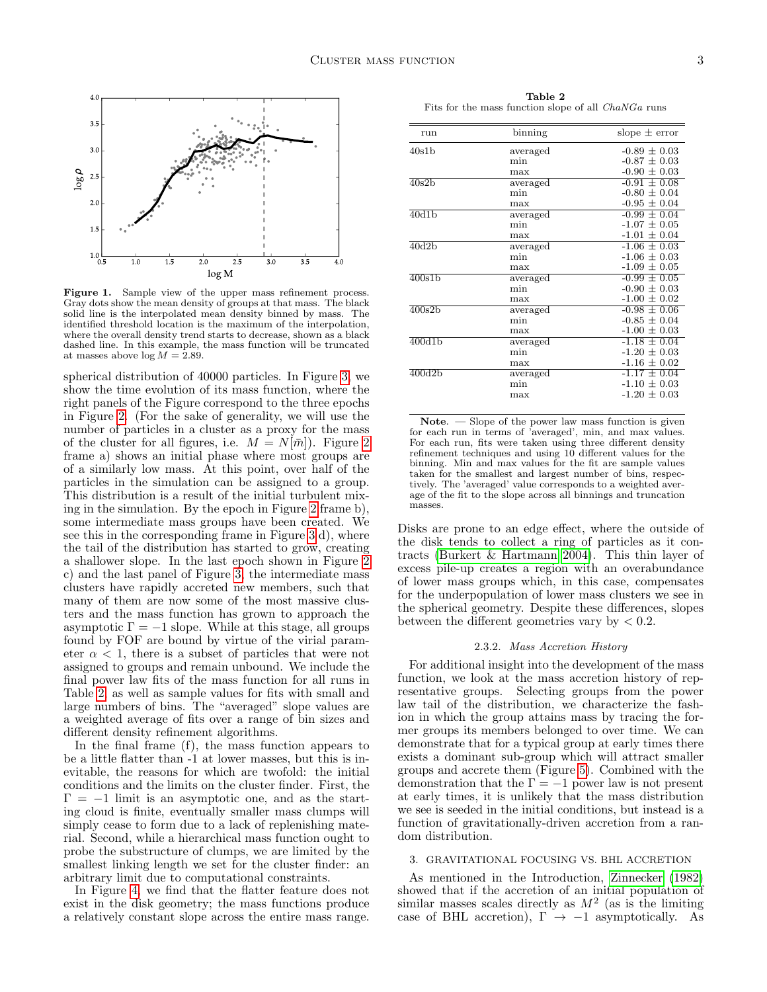

<span id="page-2-0"></span>Figure 1. Sample view of the upper mass refinement process. Gray dots show the mean density of groups at that mass. The black solid line is the interpolated mean density binned by mass. The identified threshold location is the maximum of the interpolation, where the overall density trend starts to decrease, shown as a black dashed line. In this example, the mass function will be truncated at masses above  $\log M = 2.89$ .

spherical distribution of 40000 particles. In Figure [3,](#page-3-1) we show the time evolution of its mass function, where the right panels of the Figure correspond to the three epochs in Figure [2.](#page-3-0) (For the sake of generality, we will use the number of particles in a cluster as a proxy for the mass of the cluster for all figures, i.e.  $M = N[\bar{m}]$ . Figure [2](#page-3-0) frame a) shows an initial phase where most groups are of a similarly low mass. At this point, over half of the particles in the simulation can be assigned to a group. This distribution is a result of the initial turbulent mixing in the simulation. By the epoch in Figure [2](#page-3-0) frame b), some intermediate mass groups have been created. We see this in the corresponding frame in Figure [3](#page-3-1) d), where the tail of the distribution has started to grow, creating a shallower slope. In the last epoch shown in Figure [2](#page-3-0) c) and the last panel of Figure [3,](#page-3-1) the intermediate mass clusters have rapidly accreted new members, such that many of them are now some of the most massive clusters and the mass function has grown to approach the asymptotic  $\Gamma = -1$  slope. While at this stage, all groups found by FOF are bound by virtue of the virial parameter  $\alpha$  < 1, there is a subset of particles that were not assigned to groups and remain unbound. We include the final power law fits of the mass function for all runs in Table [2,](#page-2-1) as well as sample values for fits with small and large numbers of bins. The "averaged" slope values are a weighted average of fits over a range of bin sizes and different density refinement algorithms.

In the final frame (f), the mass function appears to be a little flatter than -1 at lower masses, but this is inevitable, the reasons for which are twofold: the initial conditions and the limits on the cluster finder. First, the  $\Gamma = -1$  limit is an asymptotic one, and as the starting cloud is finite, eventually smaller mass clumps will simply cease to form due to a lack of replenishing material. Second, while a hierarchical mass function ought to probe the substructure of clumps, we are limited by the smallest linking length we set for the cluster finder: an arbitrary limit due to computational constraints.

In Figure [4,](#page-3-2) we find that the flatter feature does not exist in the disk geometry; the mass functions produce a relatively constant slope across the entire mass range.

<span id="page-2-1"></span>Table 2 Fits for the mass function slope of all ChaNGa runs

| run                 | binning  | slope $\pm$ error |  |  |
|---------------------|----------|-------------------|--|--|
| 40s1b               | averaged | $-0.89 \pm 0.03$  |  |  |
|                     | min      | $-0.87 \pm 0.03$  |  |  |
|                     | max      | $-0.90 \pm 0.03$  |  |  |
| 40s2b               | averaged | $-0.91 \pm 0.08$  |  |  |
|                     | min      | $-0.80 \pm 0.04$  |  |  |
|                     | max      | $-0.95 \pm 0.04$  |  |  |
| 40d1 <sub>b</sub>   | averaged | $-0.99 \pm 0.04$  |  |  |
|                     | min      | $-1.07 + 0.05$    |  |  |
|                     | max      | $-1.01 \pm 0.04$  |  |  |
| 40d2 <sub>b</sub>   | averaged | $-1.06 \pm 0.03$  |  |  |
|                     | min      | $-1.06 \pm 0.03$  |  |  |
|                     | max      | $-1.09 \pm 0.05$  |  |  |
| $\overline{400s1b}$ | averaged | $-0.99 \pm 0.05$  |  |  |
|                     | min      | $-0.90 \pm 0.03$  |  |  |
|                     | max      | $-1.00 \pm 0.02$  |  |  |
| 400s2 <sub>b</sub>  | averaged | $-0.98 \pm 0.06$  |  |  |
|                     | min      | $-0.85 \pm 0.04$  |  |  |
|                     | max      | $-1.00 \pm 0.03$  |  |  |
| 400d1 <sub>b</sub>  | averaged | $-1.18 \pm 0.04$  |  |  |
|                     | min      | $-1.20 \pm 0.03$  |  |  |
|                     | max      | $-1.16 \pm 0.02$  |  |  |
| 400d2 <sub>b</sub>  | averaged | $-1.17 \pm 0.04$  |  |  |
|                     | min      | $-1.10 + 0.03$    |  |  |
|                     | max      | $-1.20 \pm 0.03$  |  |  |
|                     |          |                   |  |  |

Note. — Slope of the power law mass function is given for each run in terms of 'averaged', min, and max values. For each run, fits were taken using three different density refinement techniques and using 10 different values for the binning. Min and max values for the fit are sample values taken for the smallest and largest number of bins, respectively. The 'averaged' value corresponds to a weighted average of the fit to the slope across all binnings and truncation masses.

Disks are prone to an edge effect, where the outside of the disk tends to collect a ring of particles as it contracts [\(Burkert & Hartmann 2004\)](#page-5-24). This thin layer of excess pile-up creates a region with an overabundance of lower mass groups which, in this case, compensates for the underpopulation of lower mass clusters we see in the spherical geometry. Despite these differences, slopes between the different geometries vary by  $< 0.2$ .

### 2.3.2. Mass Accretion History

For additional insight into the development of the mass function, we look at the mass accretion history of representative groups. Selecting groups from the power law tail of the distribution, we characterize the fashion in which the group attains mass by tracing the former groups its members belonged to over time. We can demonstrate that for a typical group at early times there exists a dominant sub-group which will attract smaller groups and accrete them (Figure [5\)](#page-4-0). Combined with the demonstration that the  $\Gamma = -1$  power law is not present at early times, it is unlikely that the mass distribution we see is seeded in the initial conditions, but instead is a function of gravitationally-driven accretion from a random distribution.

## 3. GRAVITATIONAL FOCUSING VS. BHL ACCRETION

As mentioned in the Introduction, [Zinnecker \(1982\)](#page-5-17) showed that if the accretion of an initial population of similar masses scales directly as  $M^2$  (as is the limiting case of BHL accretion),  $\Gamma \rightarrow -1$  asymptotically. As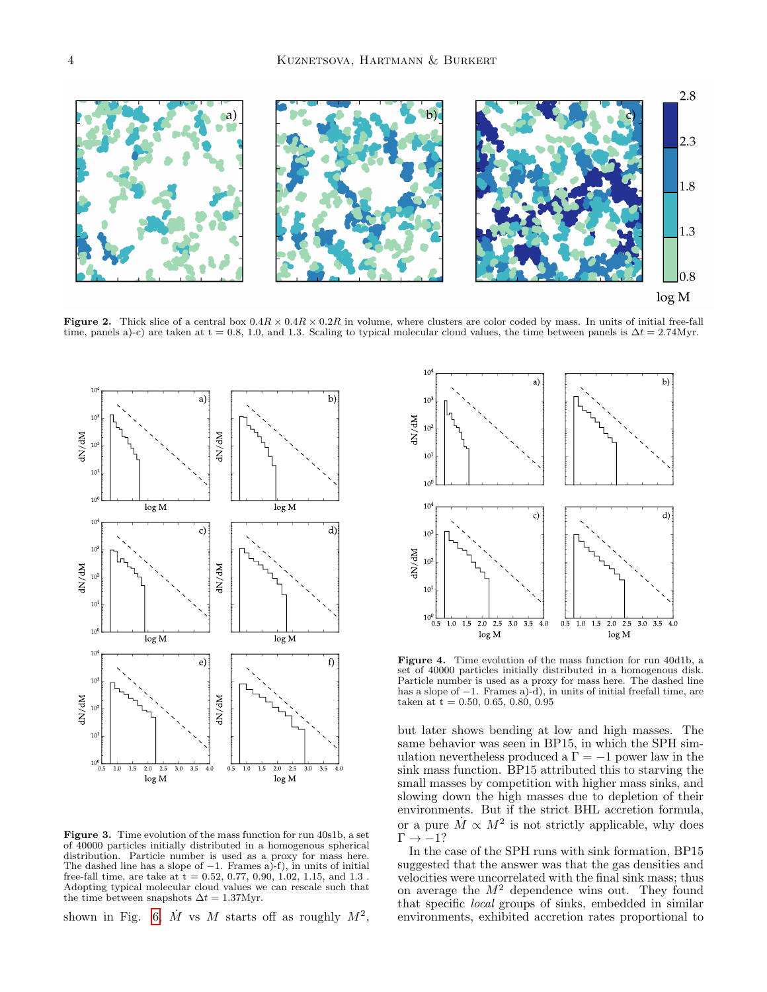

Figure 2. Thick slice of a central box  $0.4R \times 0.4R \times 0.2R$  in volume, where clusters are color coded by mass. In units of initial free-fall time, panels a)-c) are taken at  $t = 0.8$ , 1.0, and 1.3. Scaling to typical molecular cloud values, the time between panels is  $\Delta t = 2.74$ Myr.

<span id="page-3-0"></span>

<span id="page-3-1"></span>Figure 3. Time evolution of the mass function for run 40s1b, a set of 40000 particles initially distributed in a homogenous spherical distribution. Particle number is used as a proxy for mass here. The dashed line has a slope of  $-1$ . Frames a)-f), in units of initial free-fall time, are take at  $t = 0.52, 0.77, 0.90, 1.02, 1.15,$  and  $1.3$ . Adopting typical molecular cloud values we can rescale such that the time between snapshots  $\Delta t = 1.37 \text{Myr}$ .

shown in Fig. [6,](#page-4-1)  $\dot{M}$  vs M starts off as roughly  $M^2$ ,



<span id="page-3-2"></span>Figure 4. Time evolution of the mass function for run 40d1b, a set of 40000 particles initially distributed in a homogenous disk. Particle number is used as a proxy for mass here. The dashed line has a slope of  $-1$ . Frames a) $-d$ , in units of initial freefall time, are taken at  $t = 0.50, 0.65, 0.80, 0.95$ 

but later shows bending at low and high masses. The same behavior was seen in BP15, in which the SPH simulation nevertheless produced a  $\Gamma = -1$  power law in the sink mass function. BP15 attributed this to starving the small masses by competition with higher mass sinks, and slowing down the high masses due to depletion of their environments. But if the strict BHL accretion formula, or a pure  $\dot{M} \propto M^2$  is not strictly applicable, why does  $\Gamma \rightarrow -1?$ 

In the case of the SPH runs with sink formation, BP15 suggested that the answer was that the gas densities and velocities were uncorrelated with the final sink mass; thus on average the  $M^2$  dependence wins out. They found that specific local groups of sinks, embedded in similar environments, exhibited accretion rates proportional to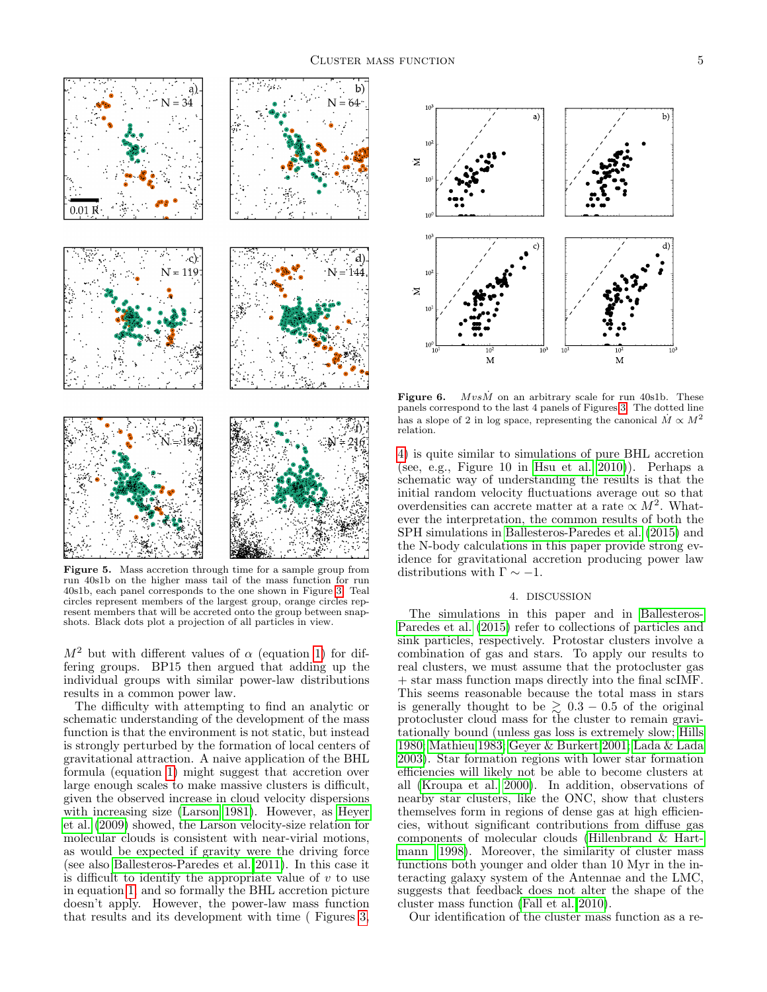

<span id="page-4-0"></span>Figure 5. Mass accretion through time for a sample group from run 40s1b on the higher mass tail of the mass function for run 40s1b, each panel corresponds to the one shown in Figure [3.](#page-3-1) Teal circles represent members of the largest group, orange circles represent members that will be accreted onto the group between snapshots. Black dots plot a projection of all particles in view.

 $M^2$  but with different values of  $\alpha$  (equation [1\)](#page-0-0) for differing groups. BP15 then argued that adding up the individual groups with similar power-law distributions results in a common power law.

The difficulty with attempting to find an analytic or schematic understanding of the development of the mass function is that the environment is not static, but instead is strongly perturbed by the formation of local centers of gravitational attraction. A naive application of the BHL formula (equation [1\)](#page-0-0) might suggest that accretion over large enough scales to make massive clusters is difficult, given the observed increase in cloud velocity dispersions with increasing size [\(Larson 1981\)](#page-5-25). However, as [Heyer](#page-5-26) [et al. \(2009\)](#page-5-26) showed, the Larson velocity-size relation for molecular clouds is consistent with near-virial motions, as would be expected if gravity were the driving force (see also [Ballesteros-Paredes et al. 2011\)](#page-5-27). In this case it is difficult to identify the appropriate value of  $v$  to use in equation [1,](#page-0-0) and so formally the BHL accretion picture doesn't apply. However, the power-law mass function that results and its development with time ( Figures [3,](#page-3-1)



<span id="page-4-1"></span>Figure 6.  $M vs \dot{M}$  on an arbitrary scale for run 40s1b. These panels correspond to the last 4 panels of Figures [3.](#page-3-1) The dotted line has a slope of 2 in log space, representing the canonical  $\dot{M} \propto M^2$ relation.

[4\)](#page-3-2) is quite similar to simulations of pure BHL accretion (see, e.g., Figure 10 in [Hsu et al. 2010\)](#page-5-28)). Perhaps a schematic way of understanding the results is that the initial random velocity fluctuations average out so that overdensities can accrete matter at a rate  $\propto M^2$ . Whatever the interpretation, the common results of both the SPH simulations in [Ballesteros-Paredes et al. \(2015\)](#page-5-19) and the N-body calculations in this paper provide strong evidence for gravitational accretion producing power law distributions with  $\Gamma \sim -1$ .

# 4. DISCUSSION

The simulations in this paper and in [Ballesteros-](#page-5-19)[Paredes et al. \(2015\)](#page-5-19) refer to collections of particles and sink particles, respectively. Protostar clusters involve a combination of gas and stars. To apply our results to real clusters, we must assume that the protocluster gas + star mass function maps directly into the final scIMF. This seems reasonable because the total mass in stars is generally thought to be  $\geq 0.3 - 0.5$  of the original protocluster cloud mass for the cluster to remain gravitationally bound (unless gas loss is extremely slow; [Hills](#page-5-29) [1980;](#page-5-29) [Mathieu 1983;](#page-5-30) [Geyer & Burkert 2001;](#page-5-31) [Lada & Lada](#page-5-4) [2003\)](#page-5-4). Star formation regions with lower star formation efficiencies will likely not be able to become clusters at all [\(Kroupa et al. 2000\)](#page-5-32). In addition, observations of nearby star clusters, like the ONC, show that clusters themselves form in regions of dense gas at high efficiencies, without significant contributions from diffuse gas components of molecular clouds [\(Hillenbrand & Hart](#page-5-33)[mann 1998\)](#page-5-33). Moreover, the similarity of cluster mass functions both younger and older than 10 Myr in the interacting galaxy system of the Antennae and the LMC, suggests that feedback does not alter the shape of the cluster mass function [\(Fall et al. 2010\)](#page-5-8).

Our identification of the cluster mass function as a re-